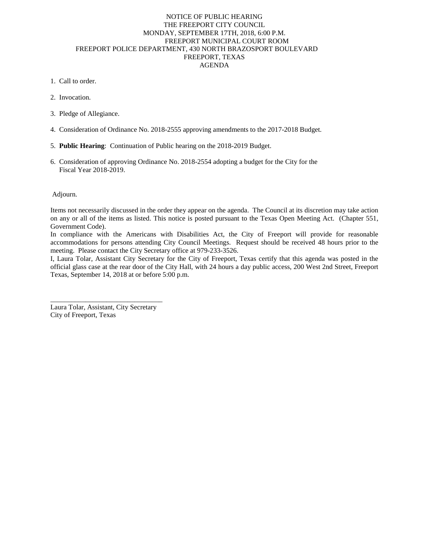# NOTICE OF PUBLIC HEARING THE FREEPORT CITY COUNCIL MONDAY, SEPTEMBER 17TH, 2018, 6:00 P.M. FREEPORT MUNICIPAL COURT ROOM FREEPORT POLICE DEPARTMENT, 430 NORTH BRAZOSPORT BOULEVARD FREEPORT, TEXAS AGENDA

- 1. Call to order.
- 2. Invocation.
- 3. Pledge of Allegiance.
- 4. Consideration of Ordinance No. 2018-2555 approving amendments to the 2017-2018 Budget.
- 5. **Public Hearing**: Continuation of Public hearing on the 2018-2019 Budget.
- 6. Consideration of approving Ordinance No. 2018-2554 adopting a budget for the City for the Fiscal Year 2018-2019.

### Adjourn.

Items not necessarily discussed in the order they appear on the agenda. The Council at its discretion may take action on any or all of the items as listed. This notice is posted pursuant to the Texas Open Meeting Act. (Chapter 551, Government Code).

In compliance with the Americans with Disabilities Act, the City of Freeport will provide for reasonable accommodations for persons attending City Council Meetings. Request should be received 48 hours prior to the meeting. Please contact the City Secretary office at 979-233-3526.

I, Laura Tolar, Assistant City Secretary for the City of Freeport, Texas certify that this agenda was posted in the official glass case at the rear door of the City Hall, with 24 hours a day public access, 200 West 2nd Street, Freeport Texas, September 14, 2018 at or before 5:00 p.m.

\_\_\_\_\_\_\_\_\_\_\_\_\_\_\_\_\_\_\_\_\_\_\_\_\_\_\_\_\_\_\_\_ Laura Tolar, Assistant, City Secretary City of Freeport, Texas